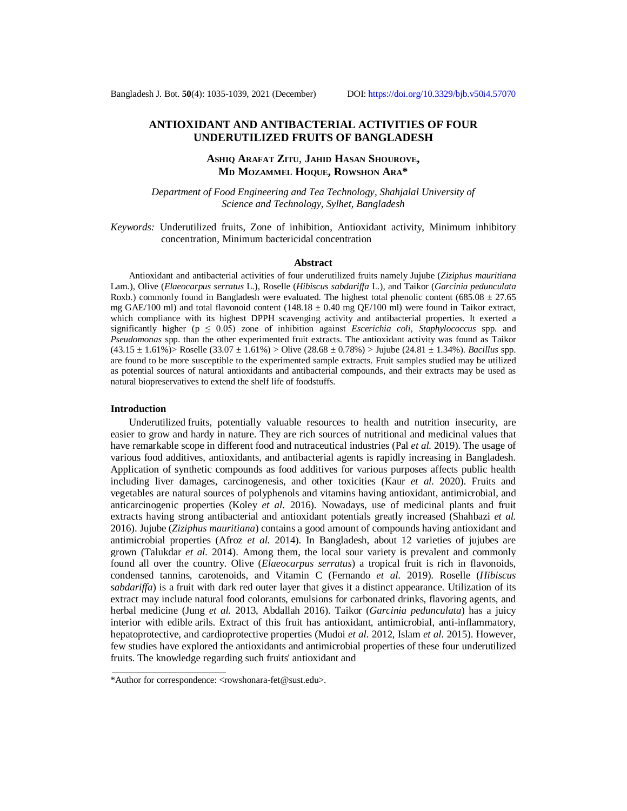## **ANTIOXIDANT AND ANTIBACTERIAL ACTIVITIES OF FOUR UNDERUTILIZED FRUITS OF BANGLADESH**

# **ASHIQ ARAFAT ZITU**, **JAHID HASAN SHOUROVE, MD MOZAMMEL HOQUE, ROWSHON ARA\***

*Department of Food Engineering and Tea Technology, Shahjalal University of Science and Technology, Sylhet, Bangladesh*

*Keywords:* Underutilized fruits, Zone of inhibition, Antioxidant activity, Minimum inhibitory concentration, Minimum bactericidal concentration

#### **Abstract**

Antioxidant and antibacterial activities of four underutilized fruits namely Jujube (*Ziziphus mauritiana* Lam.), Olive (*Elaeocarpus serratus* L.), Roselle (*Hibiscus sabdariffa* L.), and Taikor (*Garcinia pedunculata* Roxb.) commonly found in Bangladesh were evaluated. The highest total phenolic content (685.08  $\pm$  27.65 mg GAE/100 ml) and total flavonoid content (148.18  $\pm$  0.40 mg QE/100 ml) were found in Taikor extract, which compliance with its highest DPPH scavenging activity and antibacterial properties. It exerted a significantly higher ( $p \leq 0.05$ ) zone of inhibition against *Escerichia coli, Staphylococcus* spp. and *Pseudomonas* spp. than the other experimented fruit extracts. The antioxidant activity was found as Taikor (43.15 ± 1.61%)> Roselle (33.07 ± 1.61%) > Olive (28.68 ± 0.78%) > Jujube (24.81 ± 1.34%). *Bacillus* spp. are found to be more susceptible to the experimented sample extracts. Fruit samples studied may be utilized as potential sources of natural antioxidants and antibacterial compounds, and their extracts may be used as natural biopreservatives to extend the shelf life of foodstuffs.

### **Introduction**

Underutilized fruits, potentially valuable resources to health and nutrition insecurity, are easier to grow and hardy in nature. They are rich sources of nutritional and medicinal values that have remarkable scope in different food and nutraceutical industries (Pal *et al.* 2019). The usage of various food additives, antioxidants, and antibacterial agents is rapidly increasing in Bangladesh. Application of synthetic compounds as food additives for various purposes affects public health including liver damages, carcinogenesis, and other toxicities (Kaur *et al.* 2020). Fruits and vegetables are natural sources of polyphenols and vitamins having antioxidant, antimicrobial, and anticarcinogenic properties (Koley *et al.* 2016). Nowadays, use of medicinal plants and fruit extracts having strong antibacterial and antioxidant potentials greatly increased (Shahbazi *et al.* 2016). Jujube (*Ziziphus mauritiana*) contains a good amount of compounds having antioxidant and antimicrobial properties (Afroz *et al.* 2014). In Bangladesh, about 12 varieties of jujubes are grown (Talukdar *et al.* 2014). Among them, the local sour variety is prevalent and commonly found all over the country. Olive (*Elaeocarpus serratus*) a tropical fruit is rich in flavonoids, condensed tannins, carotenoids, and Vitamin C (Fernando *et al.* 2019). Roselle (*Hibiscus sabdariffa*) is a fruit with dark red outer layer that gives it a distinct appearance. Utilization of its extract may include natural food colorants, emulsions for carbonated drinks, flavoring agents, and herbal medicine (Jung *et al.* 2013, Abdallah 2016). Taikor (*Garcinia pedunculata*) has a juicy interior with edible arils. Extract of this fruit has antioxidant, antimicrobial, anti-inflammatory, hepatoprotective, and cardioprotective properties (Mudoi *et al.* 2012, Islam *et al.* 2015). However, few studies have explored the antioxidants and antimicrobial properties of these four underutilized fruits. The knowledge regarding such fruits' antioxidant and

<sup>\*</sup>Author for correspondence: [<rowshonara-fet@sust.edu>](mailto:rowshonara-fet@sust.edu).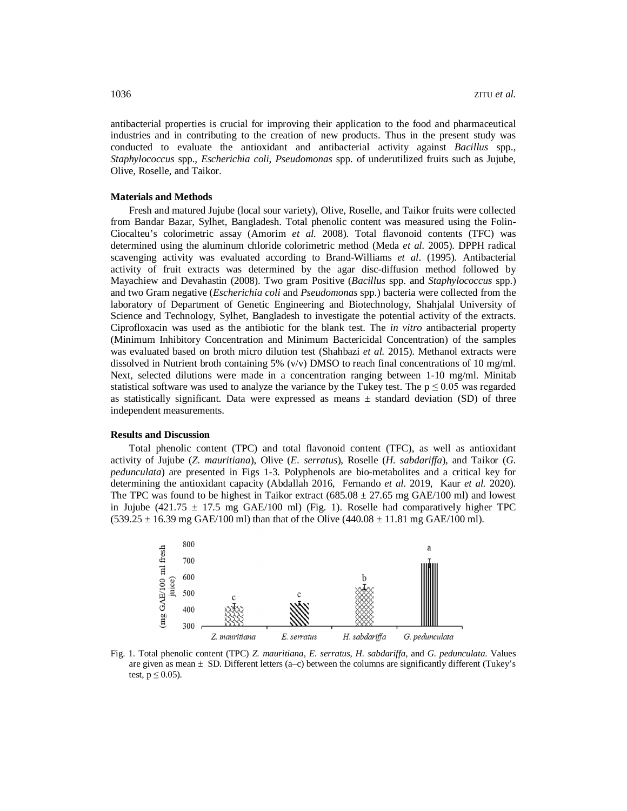antibacterial properties is crucial for improving their application to the food and pharmaceutical industries and in contributing to the creation of new products. Thus in the present study was conducted to evaluate the antioxidant and antibacterial activity against *Bacillus* spp., *Staphylococcus* spp., *Escherichia coli, Pseudomonas* spp. of underutilized fruits such as Jujube, Olive, Roselle, and Taikor.

### **Materials and Methods**

Fresh and matured Jujube (local sour variety), Olive, Roselle, and Taikor fruits were collected from Bandar Bazar, Sylhet, Bangladesh. Total phenolic content was measured using the Folin-Ciocalteu's colorimetric assay (Amorim *et al.* 2008). Total flavonoid contents (TFC) was determined using the aluminum chloride colorimetric method (Meda *et al.* 2005). DPPH radical scavenging activity was evaluated according to Brand-Williams *et al*. (1995). Antibacterial activity of fruit extracts was determined by the agar disc-diffusion method followed by Mayachiew and Devahastin (2008). Two gram Positive (*Bacillus* spp. and *Staphylococcus* spp.) and two Gram negative (*Escherichia coli* and *Pseudomonas* spp.) bacteria were collected from the laboratory of Department of Genetic Engineering and Biotechnology, Shahjalal University of Science and Technology, Sylhet, Bangladesh to investigate the potential activity of the extracts. Ciprofloxacin was used as the antibiotic for the blank test. The *in vitro* antibacterial property (Minimum Inhibitory Concentration and Minimum Bactericidal Concentration) of the samples was evaluated based on broth micro dilution test (Shahbazi *et al.* 2015). Methanol extracts were dissolved in Nutrient broth containing 5%  $(v/v)$  DMSO to reach final concentrations of 10 mg/ml. Next, selected dilutions were made in a concentration ranging between 1-10 mg/ml. Minitab statistical software was used to analyze the variance by the Tukey test. The  $p \le 0.05$  was regarded as statistically significant. Data were expressed as means  $\pm$  standard deviation (SD) of three independent measurements.

### **Results and Discussion**

Total phenolic content (TPC) and total flavonoid content (TFC), as well as antioxidant activity of Jujube (*Z. mauritiana*), Olive (*E. serratus*), Roselle (*H. sabdariffa*), and Taikor (*G. pedunculata*) are presented in Figs 1-3. Polyphenols are bio-metabolites and a critical key for determining the antioxidant capacity (Abdallah 2016, Fernando *et al.* 2019, Kaur *et al.* 2020). The TPC was found to be highest in Taikor extract  $(685.08 \pm 27.65 \text{ mg } GAE/100 \text{ ml})$  and lowest in Jujube (421.75  $\pm$  17.5 mg GAE/100 ml) (Fig. 1). Roselle had comparatively higher TPC  $(539.25 \pm 16.39 \text{ mg} \text{ GAE}/100 \text{ ml})$  than that of the Olive  $(440.08 \pm 11.81 \text{ mg} \text{ GAE}/100 \text{ ml})$ .



Fig. 1. Total phenolic content (TPC) *Z. mauritiana*, *E. serratus*, *H. sabdariffa*, and *G. pedunculata*. Values are given as mean  $\pm$  SD. Different letters (a–c) between the columns are significantly different (Tukey's test,  $p \leq 0.05$ ).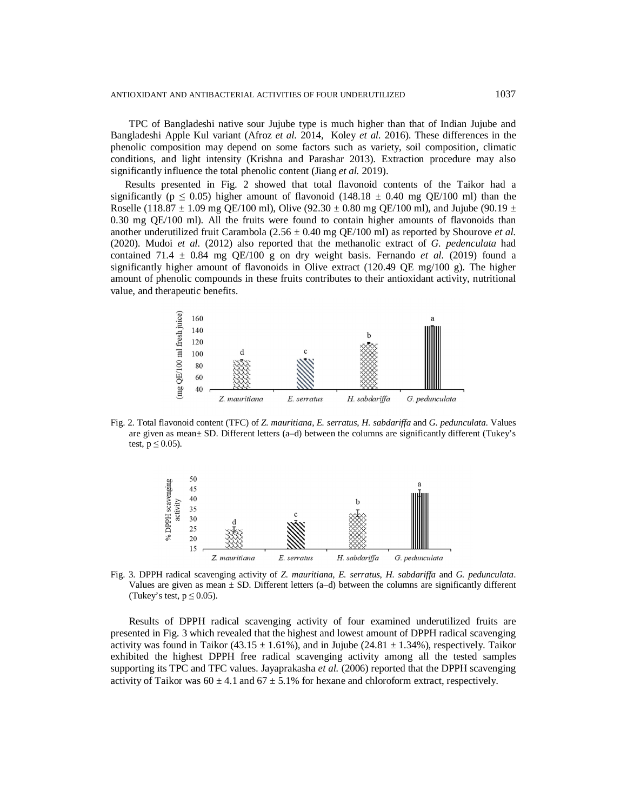TPC of Bangladeshi native sour Jujube type is much higher than that of Indian Jujube and Bangladeshi Apple Kul variant (Afroz *et al.* 2014, Koley *et al.* 2016). These differences in the phenolic composition may depend on some factors such as variety, soil composition, climatic conditions, and light intensity (Krishna and Parashar 2013)*.* Extraction procedure may also significantly influence the total phenolic content (Jiang *et al.* 2019).

Results presented in Fig. 2 showed that total flavonoid contents of the Taikor had a significantly ( $p \le 0.05$ ) higher amount of flavonoid (148.18  $\pm$  0.40 mg QE/100 ml) than the Roselle (118.87  $\pm$  1.09 mg QE/100 ml), Olive (92.30  $\pm$  0.80 mg QE/100 ml), and Jujube (90.19  $\pm$ 0.30 mg QE/100 ml). All the fruits were found to contain higher amounts of flavonoids than another underutilized fruit Carambola (2.56 ± 0.40 mg QE/100 ml) as reported by Shourove *et al.* (2020). Mudoi *et al.* (2012) also reported that the methanolic extract of *G. pedenculata* had contained 71.4  $\pm$  0.84 mg QE/100 g on dry weight basis. Fernando *et al.* (2019) found a significantly higher amount of flavonoids in Olive extract  $(120.49 \text{ OE } mg/100 \text{ g})$ . The higher amount of phenolic compounds in these fruits contributes to their antioxidant activity, nutritional value, and therapeutic benefits.



Fig. 2. Total flavonoid content (TFC) of *Z. mauritiana*, *E. serratus*, *H. sabdariffa* and *G. pedunculata*. Values are given as mean± SD. Different letters (a–d) between the columns are significantly different (Tukey's test,  $p \leq 0.05$ ).



Fig. 3. DPPH radical scavenging activity of *Z. mauritiana*, *E. serratus*, *H. sabdariffa* and *G. pedunculata*. Values are given as mean  $\pm$  SD. Different letters (a–d) between the columns are significantly different (Tukey's test,  $p \le 0.05$ ).

Results of DPPH radical scavenging activity of four examined underutilized fruits are presented in Fig. 3 which revealed that the highest and lowest amount of DPPH radical scavenging activity was found in Taikor (43.15  $\pm$  1.61%), and in Jujube (24.81  $\pm$  1.34%), respectively. Taikor exhibited the highest DPPH free radical scavenging activity among all the tested samples supporting its TPC and TFC values. Jayaprakasha *et al.* (2006) reported that the DPPH scavenging activity of Taikor was  $60 \pm 4.1$  and  $67 \pm 5.1$ % for hexane and chloroform extract, respectively.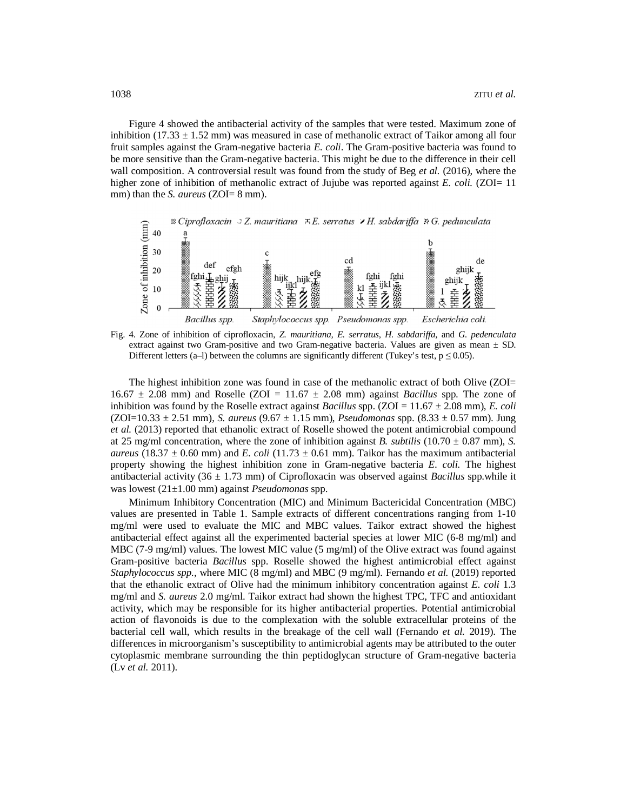Figure 4 showed the antibacterial activity of the samples that were tested. Maximum zone of inhibition (17.33  $\pm$  1.52 mm) was measured in case of methanolic extract of Taikor among all four fruit samples against the Gram-negative bacteria *E. coli*. The Gram-positive bacteria was found to be more sensitive than the Gram-negative bacteria. This might be due to the difference in their cell wall composition. A controversial result was found from the study of Beg *et al.* (2016), where the higher zone of inhibition of methanolic extract of Jujube was reported against *E. coli.* (ZOI= 11) mm) than the *S. aureus* (ZOI= 8 mm).



Fig. 4. Zone of inhibition of ciprofloxacin, *Z. mauritiana, E. serratus, H. sabdariffa,* and *G. pedenculata* extract against two Gram-positive and two Gram-negative bacteria. Values are given as mean  $\pm$  SD. Different letters (a–l) between the columns are significantly different (Tukey's test,  $p \le 0.05$ ).

The highest inhibition zone was found in case of the methanolic extract of both Olive (ZOI=  $16.67 \pm 2.08$  mm) and Roselle (ZOI =  $11.67 \pm 2.08$  mm) against *Bacillus* spp. The zone of inhibition was found by the Roselle extract against *Bacillus* spp. (ZOI =  $11.67 \pm 2.08$  mm), *E. coli* (ZOI=10.33 ± 2.51 mm), *S. aureus* (9.67 ± 1.15 mm), *Pseudomonas* spp. (8.33 ± 0.57 mm). Jung *et al.* (2013) reported that ethanolic extract of Roselle showed the potent antimicrobial compound at 25 mg/ml concentration, where the zone of inhibition against *B. subtilis* (10.70  $\pm$  0.87 mm), *S. aureus* (18.37  $\pm$  0.60 mm) and *E. coli* (11.73  $\pm$  0.61 mm). Taikor has the maximum antibacterial property showing the highest inhibition zone in Gram-negative bacteria *E. coli.* The highest antibacterial activity (36 ± 1.73 mm) of Ciprofloxacin was observed against *Bacillus* spp.while it was lowest (21±1.00 mm) against *Pseudomonas* spp.

Minimum Inhibitory Concentration (MIC) and Minimum Bactericidal Concentration (MBC) values are presented in Table 1. Sample extracts of different concentrations ranging from 1-10 mg/ml were used to evaluate the MIC and MBC values. Taikor extract showed the highest antibacterial effect against all the experimented bacterial species at lower MIC (6-8 mg/ml) and MBC (7-9 mg/ml) values. The lowest MIC value (5 mg/ml) of the Olive extract was found against Gram-positive bacteria *Bacillus* spp. Roselle showed the highest antimicrobial effect against *Staphylococcus spp.,* where MIC (8 mg/ml) and MBC (9 mg/ml). Fernando *et al.* (2019) reported that the ethanolic extract of Olive had the minimum inhibitory concentration against *E. coli* 1.3 mg/ml and *S. aureus* 2.0 mg/ml. Taikor extract had shown the highest TPC, TFC and antioxidant activity, which may be responsible for its higher antibacterial properties. Potential antimicrobial action of flavonoids is due to the complexation with the soluble extracellular proteins of the bacterial cell wall, which results in the breakage of the cell wall (Fernando *et al.* 2019). The differences in microorganism's susceptibility to antimicrobial agents may be attributed to the outer cytoplasmic membrane surrounding the thin peptidoglycan structure of Gram-negative bacteria (Lv *et al.* 2011).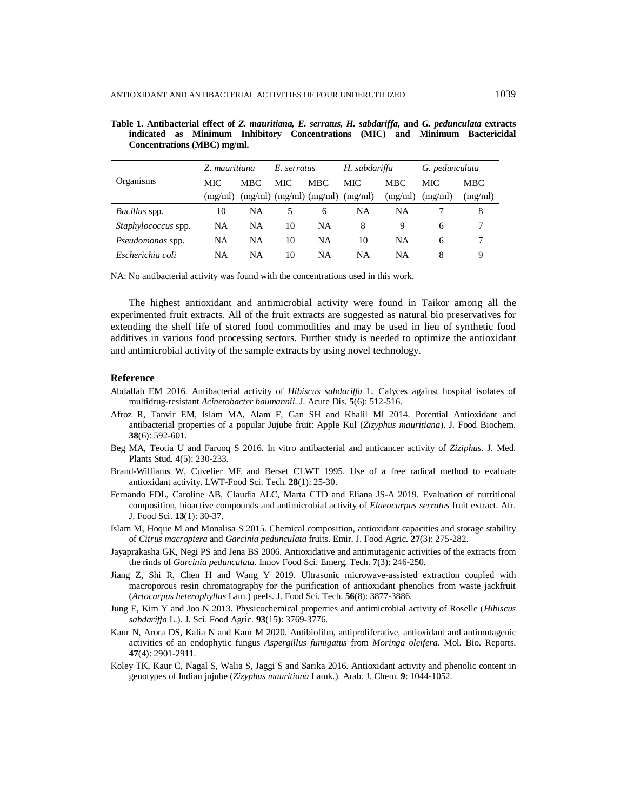| Organisms                  | Z. mauritiana |           | E. serratus |                               | H. sabdariffa |            | G. pedunculata |         |
|----------------------------|---------------|-----------|-------------|-------------------------------|---------------|------------|----------------|---------|
|                            | MIC           | MBC.      | MIC.        | MBC.                          | MIC.          | <b>MBC</b> | MIC            | MBC.    |
|                            | (mg/ml)       |           |             | $(mg/ml)$ $(mg/ml)$ $(mg/ml)$ | (mg/ml)       | (mg/ml)    | (mg/ml)        | (mg/ml) |
| <i>Bacillus</i> spp.       | 10            | NA        | 5           | 6                             | NA            | NA         |                | 8       |
| <i>Staphylococcus</i> spp. | NA            | NA        | 10          | NA                            | 8             | 9          | 6              |         |
| Pseudomonas spp.           | NA            | NA        | 10          | NA                            | 10            | NA         | 6              |         |
| Escherichia coli           | NA            | <b>NA</b> | 10          | NA                            | <b>NA</b>     | NA         | 8              | 9       |

**Table 1. Antibacterial effect of** *Z. mauritiana, E. serratus, H. sabdariffa,* **and** *G. pedunculata* **extracts indicated as Minimum Inhibitory Concentrations (MIC) and Minimum Bactericidal Concentrations (MBC) mg/ml.**

NA: No antibacterial activity was found with the concentrations used in this work.

The highest antioxidant and antimicrobial activity were found in Taikor among all the experimented fruit extracts. All of the fruit extracts are suggested as natural bio preservatives for extending the shelf life of stored food commodities and may be used in lieu of synthetic food additives in various food processing sectors. Further study is needed to optimize the antioxidant and antimicrobial activity of the sample extracts by using novel technology.

### **Reference**

- Abdallah EM 2016. Antibacterial activity of *Hibiscus sabdariffa* L. Calyces against hospital isolates of multidrug-resistant *Acinetobacter baumannii*. J. Acute Dis. **5**(6): 512-516.
- Afroz R, Tanvir EM, Islam MA, Alam F, Gan SH and Khalil MI 2014. Potential Antioxidant and antibacterial properties of a popular Jujube fruit: Apple Kul (*Zizyphus mauritiana*). J. Food Biochem. **38**(6): 592-601.
- Beg MA, Teotia U and Farooq S 2016. In vitro antibacterial and anticancer activity of *Ziziphus*. J. Med. Plants Stud. **4**(5): 230-233.
- Brand-Williams W, Cuvelier ME and Berset CLWT 1995. Use of a free radical method to evaluate antioxidant activity. LWT-Food Sci. Tech. **28**(1): 25-30.
- Fernando FDL, Caroline AB, Claudia ALC, Marta CTD and Eliana JS-A 2019. Evaluation of nutritional composition, bioactive compounds and antimicrobial activity of *Elaeocarpus serratus* fruit extract. Afr. J. Food Sci. **13**(1): 30-37.
- Islam M, Hoque M and Monalisa S 2015. Chemical composition, antioxidant capacities and storage stability of *Citrus macroptera* and *Garcinia pedunculata* fruits. Emir. J. Food Agric. **27**(3): 275-282.
- Jayaprakasha GK, Negi PS and Jena BS 2006. Antioxidative and antimutagenic activities of the extracts from the rinds of *Garcinia pedunculata*. Innov Food Sci. Emerg. Tech. **7**(3): 246-250.
- Jiang Z, Shi R, Chen H and Wang Y 2019. Ultrasonic microwave-assisted extraction coupled with macroporous resin chromatography for the purification of antioxidant phenolics from waste jackfruit (*Artocarpus heterophyllus* Lam.) peels. J. Food Sci. Tech. **56**(8): 3877-3886.
- Jung E, Kim Y and Joo N 2013. Physicochemical properties and antimicrobial activity of Roselle (*Hibiscus sabdariffa* L.). J. Sci. Food Agric. **93**(15): 3769-3776.
- Kaur N, Arora DS, Kalia N and Kaur M 2020. Antibiofilm, antiproliferative, antioxidant and antimutagenic activities of an endophytic fungus *Aspergillus fumigatus* from *Moringa oleifera.* Mol. Bio. Reports. **47**(4): 2901-2911.
- Koley TK, Kaur C, Nagal S, Walia S, Jaggi S and Sarika 2016. Antioxidant activity and phenolic content in genotypes of Indian jujube (*Zizyphus mauritiana* Lamk.). Arab. J. Chem. **9**: 1044-1052.